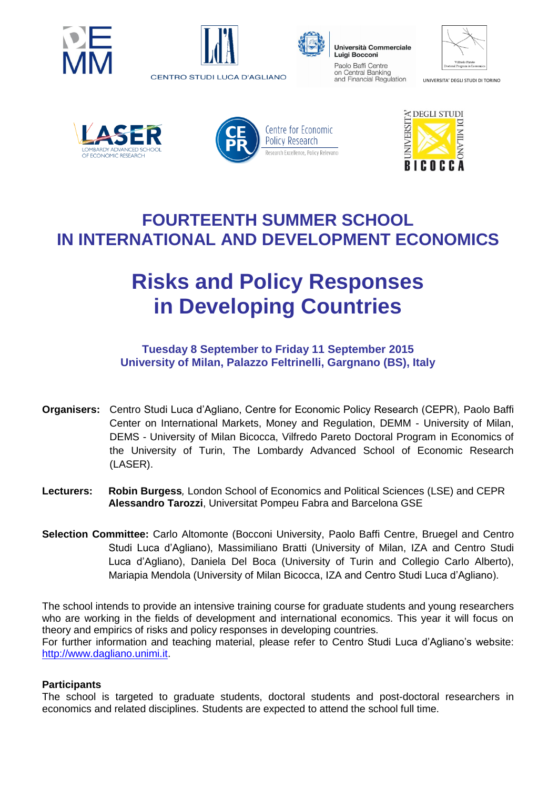





Università Commerciale **Luigi Bocconi** Paolo Baffi Centre on Central Banking and Financial Regulation

| Vilfredo Pareto               |
|-------------------------------|
| Doctoral Program in Economics |

UNIVERSITA' DEGLI STUDI DI TORINO









### **FOURTEENTH SUMMER SCHOOL IN INTERNATIONAL AND DEVELOPMENT ECONOMICS**

# **Risks and Policy Responses in Developing Countries**

#### **Tuesday 8 September to Friday 11 September 2015 University of Milan, Palazzo Feltrinelli, Gargnano (BS), Italy**

- **Organisers:** Centro Studi Luca d'Agliano, Centre for Economic Policy Research (CEPR), Paolo Baffi Center on International Markets, Money and Regulation, DEMM - University of Milan, DEMS - University of Milan Bicocca, Vilfredo Pareto Doctoral Program in Economics of the University of Turin, The Lombardy Advanced School of Economic Research (LASER).
- **Lecturers: Robin Burgess***,* London School of Economics and Political Sciences (LSE) and CEPR **Alessandro Tarozzi**, Universitat Pompeu Fabra and Barcelona GSE
- **Selection Committee:** Carlo Altomonte (Bocconi University, Paolo Baffi Centre, Bruegel and Centro Studi Luca d'Agliano), Massimiliano Bratti (University of Milan, IZA and Centro Studi Luca d'Agliano), Daniela Del Boca (University of Turin and Collegio Carlo Alberto), Mariapia Mendola (University of Milan Bicocca, IZA and Centro Studi Luca d'Agliano).

The school intends to provide an intensive training course for graduate students and young researchers who are working in the fields of development and international economics. This year it will focus on theory and empirics of risks and policy responses in developing countries. For further information and teaching material, please refer to Centro Studi Luca d'Agliano's website: [http://www.dagliano.unimi.it.](http://www.dagliano.unimi.it/)

#### **Participants**

The school is targeted to graduate students, doctoral students and post-doctoral researchers in economics and related disciplines. Students are expected to attend the school full time.